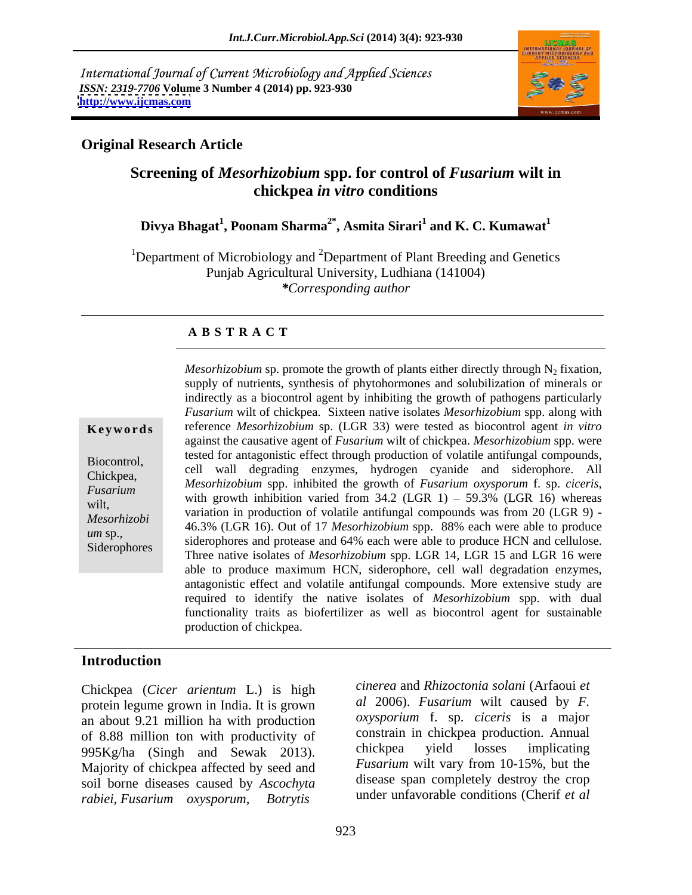International Journal of Current Microbiology and Applied Sciences *ISSN: 2319-7706* **Volume 3 Number 4 (2014) pp. 923-930 <http://www.ijcmas.com>**



### **Original Research Article**

## **Screening of** *Mesorhizobium* **spp. for control of** *Fusarium* **wilt in chickpea** *in vitro* **conditions**

### **Divya Bhagat<sup>1</sup> , Poonam Sharma2\* , Asmita Sirari<sup>1</sup> and K. C. Kumawat<sup>1</sup>**

<sup>1</sup>Department of Microbiology and <sup>2</sup>Department of Plant Breeding and Genetics Punjab Agricultural University, Ludhiana (141004) *\*Corresponding author* 

### **A B S T R A C T**

**Ke ywo rds** reference *Mesorhizobium* sp. (LGR 33) were tested as biocontrol agent *in vitro* Biocontrol, tested for antagonistic effect through production of volatile antifungal compounds,<br>cell wall degrading enzymes, hydrogen cyanide and siderophore. All Chickpea, the cent was degrading enzymes, hydrogen cyanide and sidentified. All<br>*Eugenium Mesorhizobium* spp. inhibited the growth of *Fusarium oxysporum* f. sp. *ciceris*, *Fusarium Mesonn*, *Dollarn spp.* inhoned the growth of *Pusarium oxysporum* 1. sp. *ciceris*, with growth inhibition varied from 34.2 (LGR 1) – 59.3% (LGR 16) whereas wilt,<br>
will grown infinition varied from 34.2 (EOK 1) = 39.5% (EOK 10) whereas<br>
variation in production of volatile antifungal compounds was from 20 (LGR 9) -*Mesorhizobi* 46.3% (LGR 16). Out of 17 *Mesorhizobium* spp. 88% each were able to produce wm sp.,<br>
siderophores and protease and 64% each were able to produce HCN and cellulose. Siderophores<br>Three native isolates of *Mesorhizobium* spp. LGR 14, LGR 15 and LGR 16 were *Mesorhizobium* sp. promote the growth of plants either directly through  $N_2$  fixation, supply of nutrients, synthesis of phytohormones and solubilization of minerals or indirectly as a biocontrol agent by inhibiting the growth of pathogens particularly *Fusarium* wilt of chickpea. Sixteen native isolates *Mesorhizobium* spp. along with against the causative agent of *Fusarium* wilt of chickpea. *Mesorhizobium* spp. were *Mesorhizobium* spp. inhibited the growth of *Fusarium oxysporum* f. sp. *ciceris*, with growth inhibition varied from 34.2 (LGR 1) – 59.3% (LGR 16) whereas able to produce maximum HCN, siderophore, cell wall degradation enzymes, antagonistic effect and volatile antifungal compounds. More extensive study are required to identify the native isolates of *Mesorhizobium* spp. with dual functionality traits as biofertilizer as well as biocontrol agent for sustainable production of chickpea.

### **Introduction**

Chickpea (*Cicer arientum* L.) is high protein legume grown in India. It is grown an about 9.21 million ha with production of 8.88 million ton with productivity of constrain in chickpea production. Annual<br>  $\frac{995K\sigma}{h}$  (Singh and Sewak 2013) chickpea yield losses implicating 995Kg/ha (Singh and Sewak 2013). Majority of chickpea affected by seed and soil borne diseases caused by *Ascochyta rabiei, Fusarium oxysporum, Botrytis* 

*cinerea* and *Rhizoctonia solani* (Arfaoui *et al* 2006). *Fusarium* wilt caused by *F. oxysporium* f. sp. *ciceris* is a major constrain in chickpea production. Annual chickpea yield losses implicating *Fusarium* wilt vary from 10-15%, but the disease span completely destroy the crop under unfavorable conditions (Cherif *et al*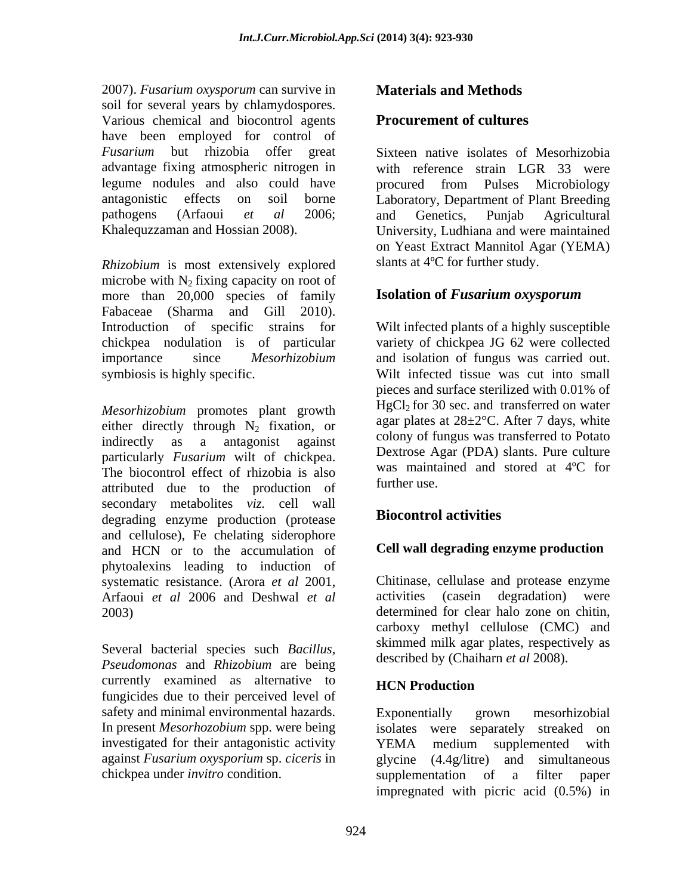2007). *Fusarium oxysporum* can survive in soil for several years by chlamydospores. Various chemical and biocontrol agents have been employed for control of *Fusarium* but rhizobia offer great Sixteen native isolates of Mesorhizobia advantage fixing atmospheric nitrogen in legume nodules and also could have procured from Pulses Microbiology antagonistic effects on soil borne Laboratory, Department of Plant Breeding pathogens (Arfaoui *et al* 2006;

*Rhizobium* is most extensively explored microbe with  $N_2$  fixing capacity on root of<br>more than 20.000 species of family **Isolation of** *Fusarium oxysporum* more than 20,000 species of family Fabaceae (Sharma and Gill 2010). Introduction of specific strains for chickpea nodulation is of particular variety of chickpea JG 62 were collected importance since *Mesorhizobium*  and isolation of fungus was carried out. symbiosis is highly specific. Wilt infected tissue was cut into small

*Mesorhizobium* promotes plant growth either directly through  $N_2$  fixation, or indirectly as a antagonist against indirectly as a antagonist against colony of lungus was transferred to Potato particularly *Fusarium* wilt of chickpea. The biocontrol effect of rhizobia is also was mainted attributed due to the production of secondary metabolites *viz.* cell wall<br>dograding onzume production (protosse) **Biocontrol activities** degrading enzyme production (protease and cellulose), Fe chelating siderophore and HCN or to the accumulation of phytoalexins leading to induction of systematic resistance. (Arora *et al* 2001, Chitinase, cellulase and protease enzyme Arfaoui *et al* 2006 and Deshwal *et al* activities (casein degradation) were Arfaoui *et al* 2006 and Deshwal *et al*

Several bacterial species such *Bacillus, Pseudomonas* and *Rhizobium* are being currently examined as alternative to fungicides due to their perceived level of safety and minimal environmental hazards. Exponentially grown mesorhizobial In present *Mesorhozobium* spp. were being isolates were separately streaked on investigated for their antagonistic activity **EMA** medium supplemented with against *Fusarium oxysporium* sp. *ciceris* in chickpea under *invitro* condition. Supplementation of a filter paper

### **Materials and Methods**

### **Procurement of cultures**

Khalequzzaman and Hossian 2008). University, Ludhiana and were maintained with reference strain LGR 33 were procured from Pulses Microbiology and Genetics, Punjab Agricultural on Yeast Extract Mannitol Agar (YEMA) slants at 4ºC for further study.

### **Isolation of** *Fusarium oxysporum*

Wilt infected plants of a highly susceptible pieces and surface sterilized with 0.01% of  $HgCl<sub>2</sub>$  for 30 sec. and transferred on water agar plates at  $28 \pm 2^{\circ}$ C. After 7 days, white colony of fungus was transferred to Potato Dextrose Agar (PDA) slants. Pure culture was maintained and stored at 4ºC for further use.

### **Biocontrol activities**

### **Cell wall degrading enzyme production**

2003) determined for clear halo zone on chitin,<br>carboxy methyl cellulose (CMC) and Chitinase, cellulase and protease enzyme activities (casein degradation) were determined for clear halo zone on chitin, carboxy methyl cellulose (CMC) and skimmed milk agar plates, respectively as described by (Chaiharn *et al* 2008).

### **HCN Production**

Exponentially grown mesorhizobial YEMA medium supplemented with glycine (4.4g/litre) and simultaneous supplementation of a filter paper impregnated with picric acid (0.5%) in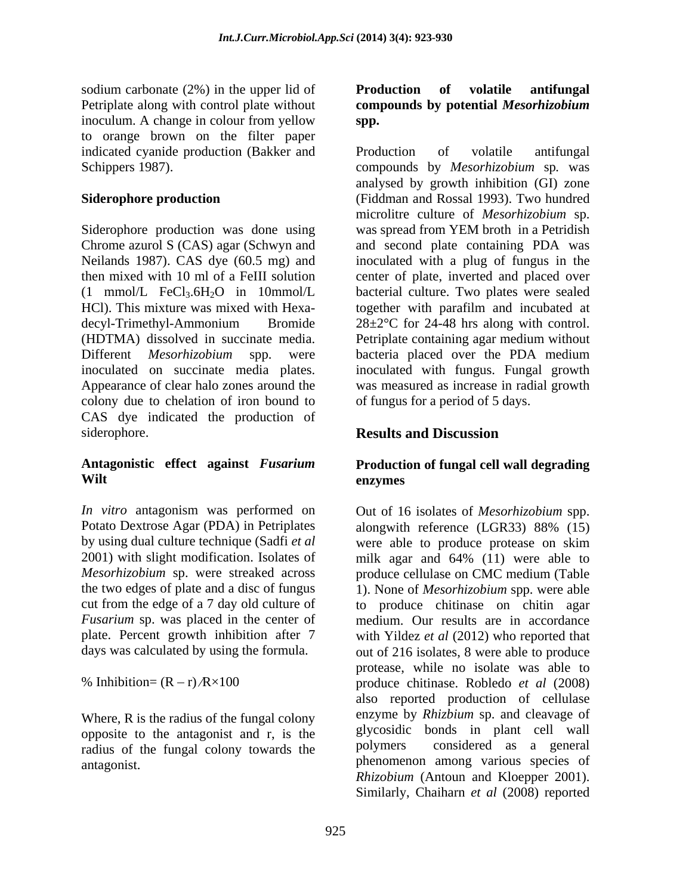sodium carbonate (2%) in the upper lid of **Production** of volatile antifungal Petriplate along with control plate without compounds by potential *Mesorhizobium* inoculum. A change in colour from yellow spp. to orange brown on the filter paper indicated cyanide production (Bakker and Production of volatile antifungal

Siderophore production was done using Different *Mesorhizobium* spp. were bacteria placed over the PDA medium colony due to chelation of iron bound to CAS dye indicated the production of siderophore. **Results and Discussion** 

*In vitro* antagonism was performed on Potato Dextrose Agar (PDA) in Petriplates alongwith reference (LGR33) 88% (15) *Mesorhizobium* sp. were streaked across produce cellulase on CMC medium (Table the two edges of plate and a disc of fungus *Fusarium* sp. was placed in the center of

Where, R is the radius of the fungal colony opposite to the antagonist and r, is the glycosidic<br>radius of the fungal colony towards the polymers radius of the fungal colony towards the

### **Production of volatile antifungal compoundsby potential** *Mesorhizobium* **spp.**

Schippers 1987). compounds by *Mesorhizobium* sp*.* was **Siderophore production**  (Fiddman and Rossal 1993). Two hundred Chrome azurol S (CAS) agar (Schwyn and and second plate containing PDA was Neilands 1987). CAS dye (60.5 mg) and inoculated with a plug of fungus in the then mixed with 10 ml of a FeIII solution center of plate, inverted and placed over  $(1 \text{ mmol/L} \text{FeCl}_3.6\text{H}_2\text{O} \text{ in } 10 \text{ mmol/L}$  bacterial culture. Two plates were sealed HCl). This mixture was mixed with Hexa- together with parafilm and incubated at decyl-Trimethyl-Ammonium Bromide 28±2°C for 24-48 hrs along with control. (HDTMA) dissolved in succinate media. Petriplate containing agar medium without inoculated on succinate media plates. inoculated with fungus. Fungal growth Appearance of clear halo zones around the was measured as increase in radial growth Production of volatile antifungal analysed by growth inhibition (GI) zone microlitre culture of *Mesorhizobium* sp. was spread from YEM broth in a Petridish bacteria placed over the PDA medium of fungus for a period of 5 days.

# **Results and Discussion**

### **Antagonistic effect against** *Fusarium*  **Production of fungal cell wall degrading Wilt enzymes**

by using dual culture technique (Sadfi *et al*  were able to produce protease on skim 2001) with slight modification. Isolates of milk agar and 64% (11) were able to cut from the edge of a 7 day old culture of to produce chitinase on chitin agar plate. Percent growth inhibition after 7 with Yildez *et al* (2012) who reported that days was calculated by using the formula. out of 216 isolates, 8 were able to produce % Inhibition=  $(R - r)$ / $R \times 100$  (moduce chiting roduce chiting roduce chiting roduce  $et \ al (2008)$ antagonist. phenomenon among various species of Out of 16 isolates of *Mesorhizobium* spp. alongwith reference (LGR33) 88% (15) produce cellulase on CMC medium (Table 1). None of *Mesorhizobium* spp. were able medium. Our results are in accordance protease, while no isolate was able to produce chitinase. Robledo *et al* (2008) also reported production of cellulase enzyme by *Rhizbium* sp. and cleavage of glycosidic bonds in plant cell wall considered as a general *Rhizobium* (Antoun and Kloepper 2001). Similarly, Chaiharn *et al* (2008) reported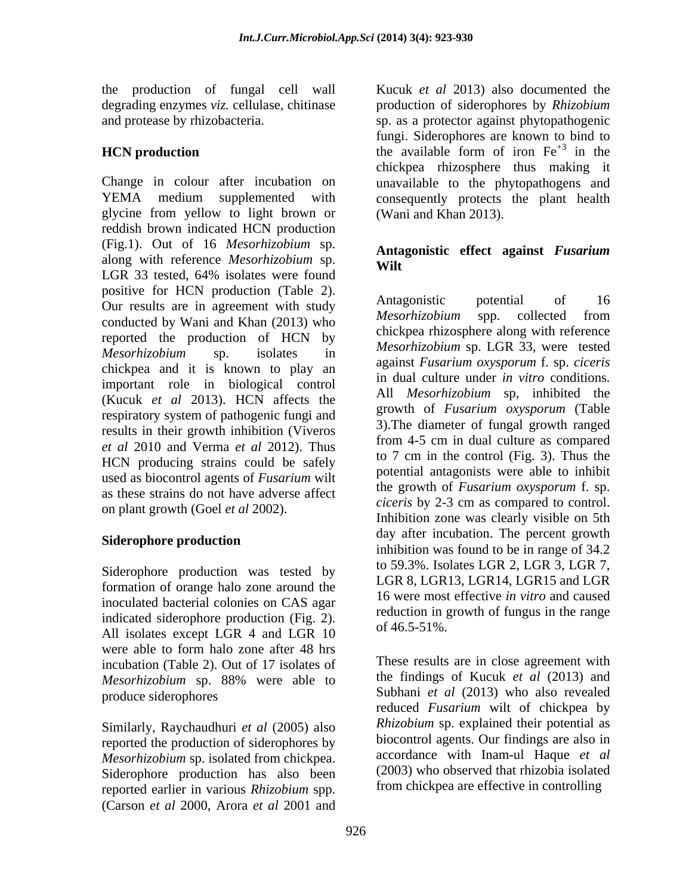glycine from yellow to light brown or reddish brown indicated HCN production (Fig.1). Out of 16 *Mesorhizobium* sp. along with reference *Mesorhizobium* sp. LGR 33 tested, 64% isolates were found positive for HCN production (Table 2).<br>Our results are in aggregated with study. Antagonistic potential of 16 Our results are in agreement with study<br>*Mesorhizobium* spp. collected from conducted by Wani and Khan (2013) who reported the production of HCN by chickpea and it is known to play an important role in biological control (Kucuk *et al* 2013). HCN affects the respiratory system of pathogenic fungi and results in their growth inhibition (Viveros *et al* 2010 and Verma *et al* 2012). Thus HCN producing strains could be safely used as biocontrol agents of *Fusarium* wilt as these strains do not have adverse affect on plant growth (Goel *et al* 2002).

### **Siderophore production**

Siderophore production was tested by formation of orange halo zone around the inoculated bacterial colonies on CAS agar indicated siderophore production (Fig. 2). Federal in  $\frac{1}{2}$  of 46.5-51%. All isolates except LGR 4 and LGR 10 were able to form halo zone after 48 hrs incubation (Table 2). Out of 17 isolates of *Mesorhizobium* sp. 88% were able to

Similarly, Raychaudhuri *et al* (2005) also reported the production of siderophores by *Mesorhizobium* sp. isolated from chickpea. Siderophore production has also been reported earlier in various *Rhizobium* spp. (Carson *et al* 2000, Arora *et al* <sup>2001</sup> and

the production of fungal cell wall Kucuk *et al* 2013) also documented the degrading enzymes *viz.* cellulase, chitinase production of siderophores by *Rhizobium*  and protease by rhizobacteria. sp. as a protector against phytopathogenic **HCN production** the available form of iron  $Fe^{+3}$  in the Change in colour after incubation on unavailable to the phytopathogens and YEMA medium supplemented with consequently protects the plant health fungi. Siderophores are known to bind to chickpea rhizosphere thus making it (Wani and Khan 2013).

### **Antagonistic effect against** *Fusarium*  **Wilt**

*Mesorhizobium* sp. isolates in *Mesorhizobium* sp. LOK 33, were lested Antagonistic potential of 16 *Mesorhizobium* spp. collected from chickpea rhizosphere along with reference *Mesorhizobium* sp. LGR 33, were tested against *Fusarium oxysporum* f. sp. *ciceris*  in dual culture under *in vitro* conditions. All *Mesorhizobium* sp, inhibited the growth of *Fusarium oxysporum* (Table 3).The diameter of fungal growth ranged from 4-5 cm in dual culture as compared to 7 cm in the control (Fig. 3). Thus the potential antagonists were able to inhibit the growth of *Fusarium oxysporum* f. sp. *ciceris* by 2-3 cm as compared to control. Inhibition zone was clearly visible on 5th day after incubation. The percent growth inhibition was found to be in range of 34.2 to 59.3%. Isolates LGR 2, LGR 3, LGR 7, LGR 8, LGR13, LGR14, LGR15 and LGR 16 were most effective *in vitro* and caused reduction in growth of fungus in the range of 46.5-51%.

produce siderophores Subhani *et al* (2013) who also revealed These results are in close agreement with the findings of Kucuk *et al* (2013) and reduced *Fusarium* wilt of chickpea by *Rhizobium* sp. explained their potential as biocontrol agents. Our findings are also in accordance with Inam-ul Haque *et al* (2003) who observed that rhizobia isolated from chickpea are effective in controlling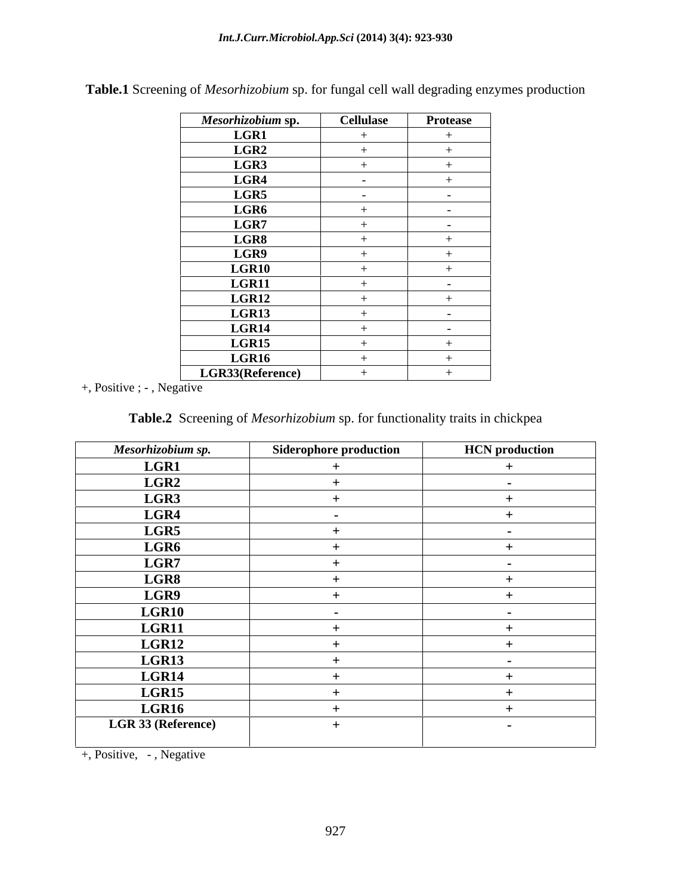| Mesorhizobium sp. | <b>Cellulase</b> | <b>Protease</b>          |
|-------------------|------------------|--------------------------|
| <b>LGR1</b>       |                  |                          |
| LGR2              |                  |                          |
| LGR3              | $+$              |                          |
| LGR4              | $\sim$           |                          |
| LGR5              | $\sim$           | $\sim$                   |
| LGR6              | $+$              | $\sim$                   |
| $_{\rm LGR7}$     |                  | $\sim$                   |
| LGR8              | $+$              | $+$                      |
| LGR9              |                  | $\div$                   |
| LGR10             |                  |                          |
| LGR11             |                  | $\overline{\phantom{0}}$ |
| LGR12             |                  |                          |
| LGR13             |                  | $\sim$                   |
| LGR14             | -⊥               | $-$                      |
| LGR15             |                  |                          |
| LGR16             |                  |                          |
| LGR33(Reference)  |                  |                          |

**Table.1** Screening of *Mesorhizobium* sp. for fungal cell wall degrading enzymes production

+, Positive ; - , Negative

| Table.2 Screening of Mesorhizobium sp. for functionality traits in chickpea |  |
|-----------------------------------------------------------------------------|--|
|-----------------------------------------------------------------------------|--|

| Mesorhizobium sp.  | <b>Siderophore production</b> | <b>HCN</b> production |
|--------------------|-------------------------------|-----------------------|
| LGR1               |                               |                       |
| LGR2               |                               |                       |
| LGR3               |                               |                       |
| LGR4               |                               |                       |
| LGR5               |                               | $\sim$                |
| LGR6               |                               |                       |
| LGR7               |                               | $\sim$                |
| LGR8               |                               |                       |
| LGR9               |                               |                       |
| LGR10              |                               | $\blacksquare$        |
| LGR11              |                               |                       |
| LGR12              |                               |                       |
| LGR13              |                               |                       |
| LGR14              |                               |                       |
| LGR15              |                               |                       |
| LGR16              |                               |                       |
| LGR 33 (Reference) |                               | $\sim$                |
|                    |                               |                       |

+, Positive, - , Negative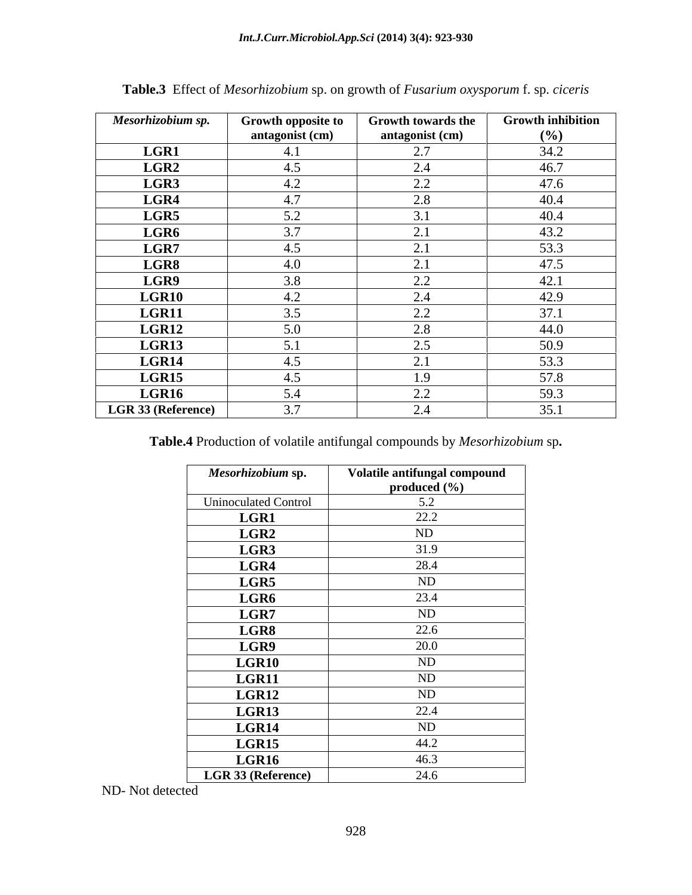| Mesorhizobium sp.  | Growth opposite to | <b>Growth towards the</b>  | <b>Growth inhibition</b> |
|--------------------|--------------------|----------------------------|--------------------------|
|                    | antagonist (cm)    | antagonist (cm)            | (%)                      |
| LGR1               | 4.1                | 2.7                        | 34.2                     |
| LGR2               | 4.5                | 2.4                        | 46.7                     |
| LGR3               | 4.2                | 2.2                        | 47.6                     |
| LGR4               | 4.7                | 2.8                        | 40.4                     |
| LGR5               | 5.2                | $\sim$<br><sup>3.,</sup>   | 40.4                     |
| LGR6               | 3.7                | $\bigcap$ 1<br>$\angle$ .1 | 43.2                     |
| LGR7               | 4.5                | $\bigcap$ 1<br>$\sim$ .    | 53.3                     |
| LGR8               | 4.0                | $\bigcap$ 1<br>$\sim$ .    | 47.5                     |
| LGR9               | 3.8                | 2.2                        | 42.1                     |
| LGR10              | 4.2                | 2.4                        | 42.9                     |
| LGR11              | 3.5                | 2.2                        | 37.1                     |
| LGR12              | 5.0                | 2.8                        | 44.0                     |
| LGR13              | 5.1                | 2.5                        | 50.9                     |
| LGR14              | 4.5                | $\sim$<br>$\sim$ .         | 53.3                     |
| LGR15              | 4.5                | 1.9                        | 57.8                     |
| LGR16              | 5.4                | 2.2                        | 59.3                     |
| LGR 33 (Reference) | 3.7                | 2.4                        | 35.1                     |

**Table.3** Effect of *Mesorhizobium* sp. on growth of *Fusarium oxysporum* f. sp. *ciceris*

**Table.4** Production of volatile antifungal compounds by *Mesorhizobium* sp**.**

| Mesorhizobium sp.           | Volatile antifungal compound |
|-----------------------------|------------------------------|
|                             | produced $(\% )$             |
| <b>Uninoculated Control</b> | 5.2                          |
| <b>LGR1</b>                 | 22.2                         |
| LGR2                        | ND                           |
| LGR3                        | 31.9                         |
| LGR4                        | 28.4                         |
| LGR5                        | ND                           |
| LGR6                        | 23.4                         |
| LGR7                        | ND                           |
| LGR8                        | 22.6                         |
| LGR9                        | 20.0                         |
| LGR10                       | ND                           |
| <b>LGR11</b>                | ND                           |
| LGR12                       | ND                           |
| LGR13                       | 22.4                         |
| LGR14                       | ND                           |
| LGR15                       | 44.2                         |
| LGR16                       | 46.3                         |
| LGR 33 (Reference)          | 24.6                         |

ND- Not detected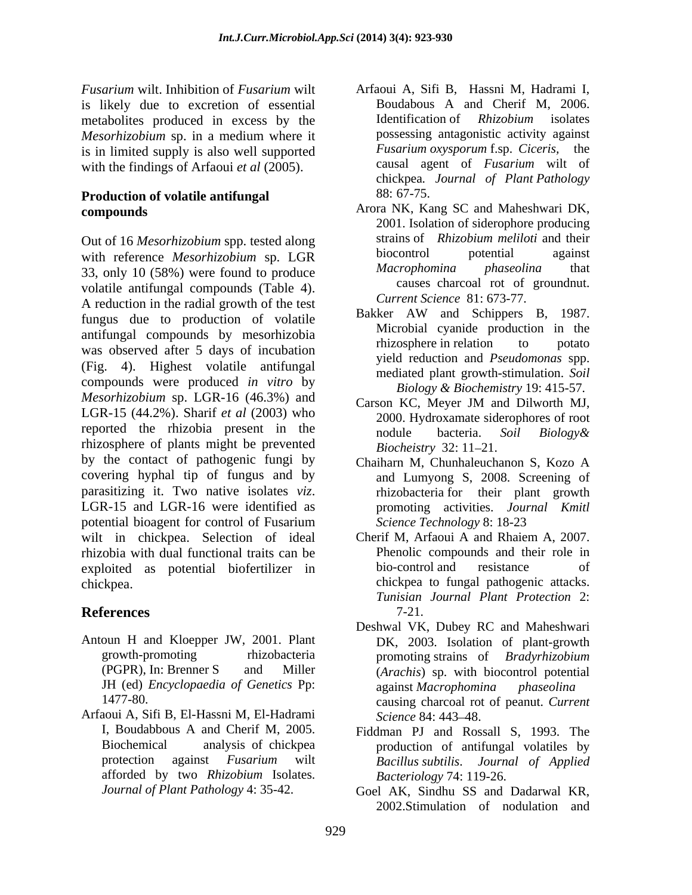*Fusarium* wilt. Inhibition of *Fusarium* wilt Arfaoui A, Sifi B, Hassni M, Hadrami I, is likely due to excretion of essential<br>metabolities produced in excess by the Identification of *Rhizobium* isolates metabolites produced in excess by the *Mesorhizobium* sp. in a medium where it<br>is in limited supply is also well supported<br>Fusarium oxysporum f.sp. Ciceris, the is in limited supply is also well supported with the findings of Arfaoui *et al* (2005).

# **Production of volatile antifungal** 88: 67-75.

with reference *Mesorhizobium* sp. LGR biocontrol potential against<br>33 only 10.68%) were found to produce *Macrophomina phaseolina* that 33, only 10 (58%) were found to produce volatile antifungal compounds (Table 4). A reduction in the radial growth of the test<br>function of velocity and Schippers B, 1987. fungus due to production of volatile antifungal compounds by mesorhizobia<br>
microbia cyanua production in the<br>
microbia cyanua production in the was observed after 5 days of incubation (Fig. 4). Highest volatile antifungal compounds were produced *in vitro* by *Mesorhizobium* sp. LGR-16 (46.3%) and Carson KC, Meyer JM and Dilworth MJ, LGR-15 (44.2%). Sharif *et al* (2003) who reported the rhizobia present in the nodule bacteria. Soil Biology & rhizosphere of plants might be prevented<br>Biocheistry 32: 11-21. by the contact of pathogenic fungi by covering hyphal tip of fungus and by parasitizing it. Two native isolates *viz*.<br>
LGR-15 and LGR-16 were identified as *promoting activities. Journal Kmitl* potential bioagent for control of Fusarium wilt in chickpea. Selection of ideal rhizobia with dual functional traits can be exploited as potential biofertilizer in chickpea. chickpea to fungal pathogenic attacks.

- Antoun H and Kloepper JW, 2001. Plant
- Arfaoui A, Sifi B, El-Hassni M, El-Hadrami afforded by two *Rhizobium* Isolates.
- Boudabous A and Cherif M, 2006. Identification of *Rhizobium* isolates possessing antagonistic activity against *Fusarium oxysporum* f.sp. *Ciceris,* the causal agent of *Fusarium* wilt of chickpea*. Journal of Plant Pathology* 88: 67-75.
- **compounds**  Arora NK, Kang SC and Maheshwari DK, Out of 16 *Mesorhizobium* spp. tested along strains of *Rhizobium meliloti* and their<br>with reference *Mesorhizobium* sp LGP biocontrol potential against 2001. Isolation of siderophore producing strains of *Rhizobium meliloti* and their biocontrol potential against *Macrophomina phaseolina* that causes charcoal rot of groundnut. *Current Science* 81: 673-77.
	- Bakker AW and Schippers B, 1987. Microbial cyanide production in the rhizosphere in relation to potato yield reduction and *Pseudomonas* spp. mediated plant growth-stimulation. *Soil Biology & Biochemistry* 19: 415-57.
	- Carson KC, Meyer JM and Dilworth MJ, 2000. Hydroxamate siderophores of root nodule bacteria. *Soil Biology& Biocheistry* 32: 11–21.
	- Chaiharn M, Chunhaleuchanon S, Kozo A and Lumyong S, 2008. Screening of rhizobacteria for their plant growth promoting activities. *Journal Kmitl Science Technology* 8: 18-23
- **References** Cherif M, Arfaoui A and Rhaiem A, 2007. Phenolic compounds and their role in bio-control and resistance of *Tunisian Journal Plant Protection* 2: 7-21.
	- growth-promoting rhizobacteria promoting strains of Bradyrhizobium (PGPR), In: Brenner S and Miller (*Arachis*) sp. with biocontrol potential JH (ed) *Encyclopaedia of Genetics* Pp: 1477-80. causing charcoal rot of peanut. *Current*  Deshwal VK, Dubey RC and Maheshwari DK, 2003. Isolation of plant-growth promoting strains of *Bradyrhizobium*  against *Macrophomina phaseolina Science* 84: 443–48.
	- I, Boudabbous A and Cherif M, 2005. Fiddman PJ and Rossall S, 1993. The Biochemical analysis of chickpea production of antifungal volatiles by protection against *Fusarium* wilt *Bacillus subtilis*. *Journal of Applied Bacteriology* 74: 119-26.
	- *Journal of Plant Pathology* 4: 35-42. Goel AK, Sindhu SS and Dadarwal KR, 2002.Stimulation of nodulation and